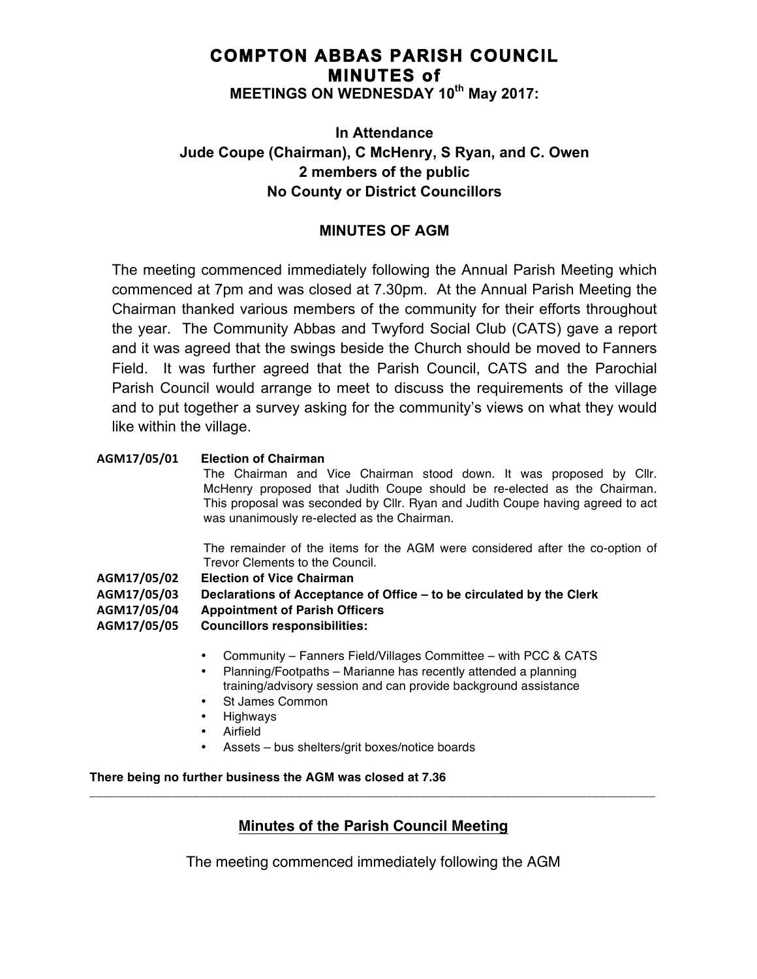# **COMPTON ABBAS PARISH COUNCIL MINUTES of MEETINGS ON WEDNESDAY 10th May 2017:**

# **In Attendance Jude Coupe (Chairman), C McHenry, S Ryan, and C. Owen 2 members of the public No County or District Councillors**

## **MINUTES OF AGM**

The meeting commenced immediately following the Annual Parish Meeting which commenced at 7pm and was closed at 7.30pm. At the Annual Parish Meeting the Chairman thanked various members of the community for their efforts throughout the year. The Community Abbas and Twyford Social Club (CATS) gave a report and it was agreed that the swings beside the Church should be moved to Fanners Field. It was further agreed that the Parish Council, CATS and the Parochial Parish Council would arrange to meet to discuss the requirements of the village and to put together a survey asking for the community's views on what they would like within the village.

## **AGM17/05/01 Election of Chairman**

The Chairman and Vice Chairman stood down. It was proposed by Cllr. McHenry proposed that Judith Coupe should be re-elected as the Chairman. This proposal was seconded by Cllr. Ryan and Judith Coupe having agreed to act was unanimously re-elected as the Chairman.

The remainder of the items for the AGM were considered after the co-option of Trevor Clements to the Council.

**AGM17/05/02 Election of Vice Chairman**

**AGM17/05/03 Declarations of Acceptance of Office – to be circulated by the Clerk AGM17/05/04 Appointment of Parish Officers AGM17/05/05 Councillors responsibilities:**

- Community Fanners Field/Villages Committee with PCC & CATS
- Planning/Footpaths Marianne has recently attended a planning training/advisory session and can provide background assistance
- St James Common
- Highways
- **Airfield**
- Assets bus shelters/grit boxes/notice boards

### **There being no further business the AGM was closed at 7.36**

## **Minutes of the Parish Council Meeting**

**\_\_\_\_\_\_\_\_\_\_\_\_\_\_\_\_\_\_\_\_\_\_\_\_\_\_\_\_\_\_\_\_\_\_\_\_\_\_\_\_\_\_\_\_\_\_\_\_\_\_\_\_\_\_\_\_\_\_\_\_\_\_\_\_\_\_\_\_\_\_\_\_\_\_\_\_\_\_\_\_\_\_**

The meeting commenced immediately following the AGM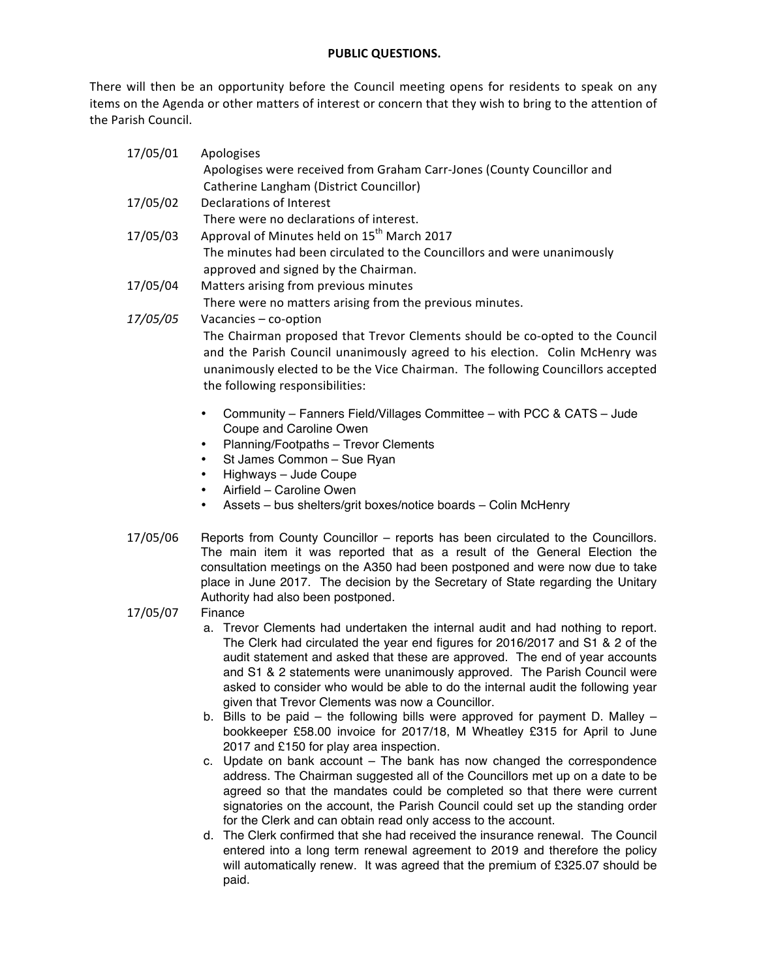### **PUBLIC QUESTIONS.**

There will then be an opportunity before the Council meeting opens for residents to speak on any items on the Agenda or other matters of interest or concern that they wish to bring to the attention of the Parish Council.

| 17/05/01        | Apologises                                                                                                                                                                                                                                                                                                                                                                                                                                                         |
|-----------------|--------------------------------------------------------------------------------------------------------------------------------------------------------------------------------------------------------------------------------------------------------------------------------------------------------------------------------------------------------------------------------------------------------------------------------------------------------------------|
|                 | Apologises were received from Graham Carr-Jones (County Councillor and<br>Catherine Langham (District Councillor)                                                                                                                                                                                                                                                                                                                                                  |
| 17/05/02        | Declarations of Interest                                                                                                                                                                                                                                                                                                                                                                                                                                           |
|                 | There were no declarations of interest.                                                                                                                                                                                                                                                                                                                                                                                                                            |
| 17/05/03        | Approval of Minutes held on 15 <sup>th</sup> March 2017                                                                                                                                                                                                                                                                                                                                                                                                            |
|                 | The minutes had been circulated to the Councillors and were unanimously                                                                                                                                                                                                                                                                                                                                                                                            |
|                 | approved and signed by the Chairman.                                                                                                                                                                                                                                                                                                                                                                                                                               |
| 17/05/04        | Matters arising from previous minutes                                                                                                                                                                                                                                                                                                                                                                                                                              |
|                 | There were no matters arising from the previous minutes.                                                                                                                                                                                                                                                                                                                                                                                                           |
| <i>17/05/05</i> | Vacancies - co-option                                                                                                                                                                                                                                                                                                                                                                                                                                              |
|                 | The Chairman proposed that Trevor Clements should be co-opted to the Council<br>and the Parish Council unanimously agreed to his election. Colin McHenry was<br>unanimously elected to be the Vice Chairman. The following Councillors accepted<br>the following responsibilities:                                                                                                                                                                                 |
|                 | Community - Fanners Field/Villages Committee - with PCC & CATS - Jude<br>$\bullet$<br>Coupe and Caroline Owen<br>Planning/Footpaths - Trevor Clements<br>$\bullet$<br>St James Common - Sue Ryan<br>$\bullet$<br>Highways - Jude Coupe<br>٠<br>Airfield - Caroline Owen<br>$\bullet$<br>Assets - bus shelters/grit boxes/notice boards - Colin McHenry<br>٠                                                                                                        |
|                 |                                                                                                                                                                                                                                                                                                                                                                                                                                                                    |
| 17/05/06        | Reports from County Councillor – reports has been circulated to the Councillors.<br>The main item it was reported that as a result of the General Election the<br>consultation meetings on the A350 had been postponed and were now due to take<br>place in June 2017. The decision by the Secretary of State regarding the Unitary<br>Authority had also been postponed.                                                                                          |
| 17/05/07        | Finance                                                                                                                                                                                                                                                                                                                                                                                                                                                            |
|                 | a. Trevor Clements had undertaken the internal audit and had nothing to report.<br>The Clerk had circulated the year end figures for 2016/2017 and S1 & 2 of the<br>audit statement and asked that these are approved. The end of year accounts<br>and S1 & 2 statements were unanimously approved. The Parish Council were<br>asked to consider who would be able to do the internal audit the following year<br>given that Trevor Clements was now a Councillor. |

b. Bills to be paid – the following bills were approved for payment D. Malley – bookkeeper £58.00 invoice for 2017/18, M Wheatley £315 for April to June 2017 and £150 for play area inspection.

- c. Update on bank account The bank has now changed the correspondence address. The Chairman suggested all of the Councillors met up on a date to be agreed so that the mandates could be completed so that there were current signatories on the account, the Parish Council could set up the standing order for the Clerk and can obtain read only access to the account.
- d. The Clerk confirmed that she had received the insurance renewal. The Council entered into a long term renewal agreement to 2019 and therefore the policy will automatically renew. It was agreed that the premium of £325.07 should be paid.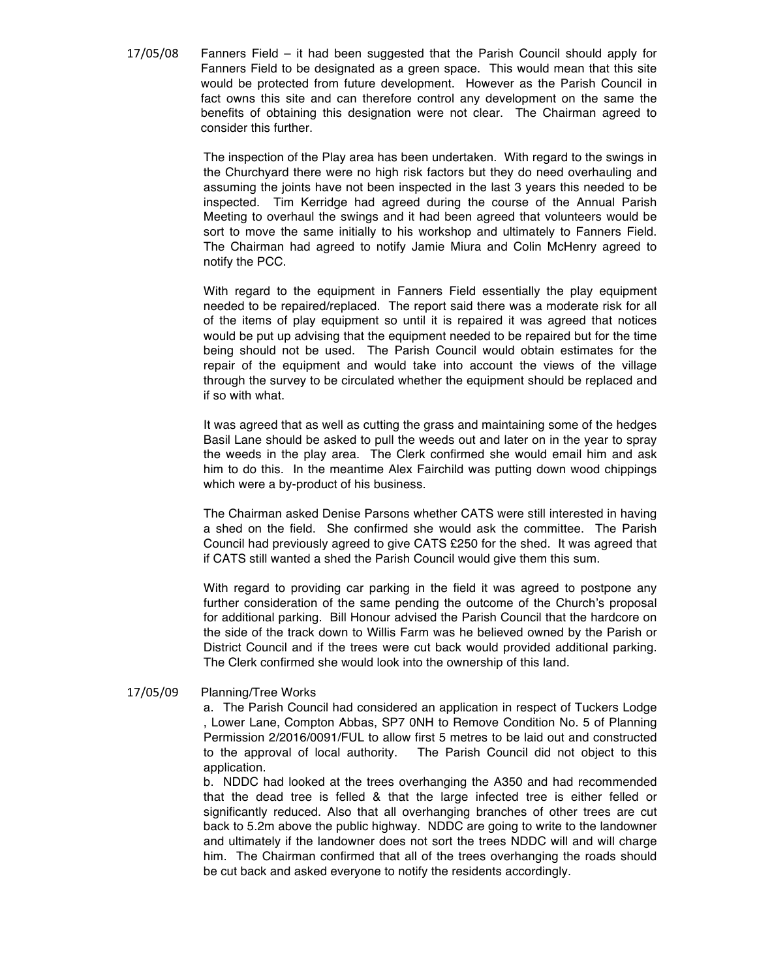17/05/08 Fanners Field – it had been suggested that the Parish Council should apply for Fanners Field to be designated as a green space. This would mean that this site would be protected from future development. However as the Parish Council in fact owns this site and can therefore control any development on the same the benefits of obtaining this designation were not clear. The Chairman agreed to consider this further.

> The inspection of the Play area has been undertaken. With regard to the swings in the Churchyard there were no high risk factors but they do need overhauling and assuming the joints have not been inspected in the last 3 years this needed to be inspected. Tim Kerridge had agreed during the course of the Annual Parish Meeting to overhaul the swings and it had been agreed that volunteers would be sort to move the same initially to his workshop and ultimately to Fanners Field. The Chairman had agreed to notify Jamie Miura and Colin McHenry agreed to notify the PCC.

> With regard to the equipment in Fanners Field essentially the play equipment needed to be repaired/replaced. The report said there was a moderate risk for all of the items of play equipment so until it is repaired it was agreed that notices would be put up advising that the equipment needed to be repaired but for the time being should not be used. The Parish Council would obtain estimates for the repair of the equipment and would take into account the views of the village through the survey to be circulated whether the equipment should be replaced and if so with what.

> It was agreed that as well as cutting the grass and maintaining some of the hedges Basil Lane should be asked to pull the weeds out and later on in the year to spray the weeds in the play area. The Clerk confirmed she would email him and ask him to do this. In the meantime Alex Fairchild was putting down wood chippings which were a by-product of his business.

> The Chairman asked Denise Parsons whether CATS were still interested in having a shed on the field. She confirmed she would ask the committee. The Parish Council had previously agreed to give CATS £250 for the shed. It was agreed that if CATS still wanted a shed the Parish Council would give them this sum.

> With regard to providing car parking in the field it was agreed to postpone any further consideration of the same pending the outcome of the Church's proposal for additional parking. Bill Honour advised the Parish Council that the hardcore on the side of the track down to Willis Farm was he believed owned by the Parish or District Council and if the trees were cut back would provided additional parking. The Clerk confirmed she would look into the ownership of this land.

17/05/09 Planning/Tree Works

a. The Parish Council had considered an application in respect of Tuckers Lodge , Lower Lane, Compton Abbas, SP7 0NH to Remove Condition No. 5 of Planning Permission 2/2016/0091/FUL to allow first 5 metres to be laid out and constructed to the approval of local authority. The Parish Council did not object to this application.

b. NDDC had looked at the trees overhanging the A350 and had recommended that the dead tree is felled & that the large infected tree is either felled or significantly reduced. Also that all overhanging branches of other trees are cut back to 5.2m above the public highway. NDDC are going to write to the landowner and ultimately if the landowner does not sort the trees NDDC will and will charge him. The Chairman confirmed that all of the trees overhanging the roads should be cut back and asked everyone to notify the residents accordingly.